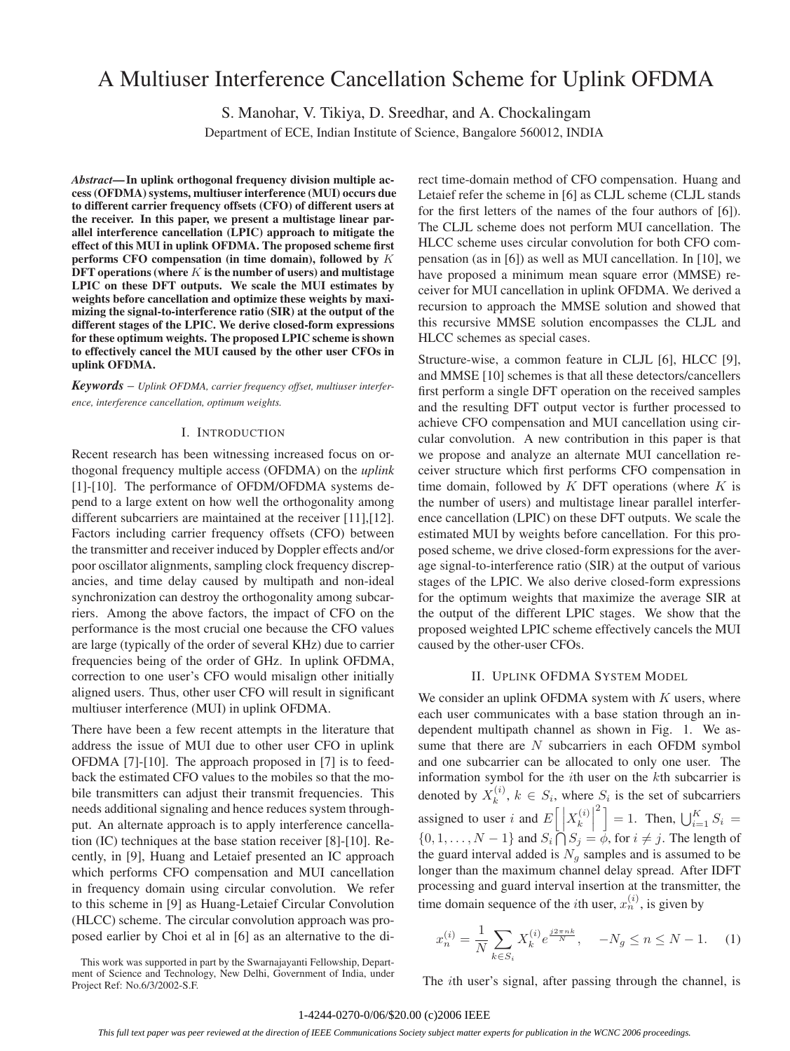# A Multiuser Interference Cancellation Scheme for Uplink OFDMA

S. Manohar, V. Tikiya, D. Sreedhar, and A. Chockalingam Department of ECE, Indian Institute of Science, Bangalore 560012, INDIA

*Abstract***—In uplink orthogonal frequency division multiple access (OFDMA) systems, multiuser interference (MUI) occurs due to different carrier frequency offsets (CFO) of different users at the receiver. In this paper, we present a multistage linear parallel interference cancellation (LPIC) approach to mitigate the effect of this MUI in uplink OFDMA. The proposed scheme first performs CFO compensation (in time domain), followed by** K **DFT operations (where** K **is the number of users) and multistage LPIC on these DFT outputs. We scale the MUI estimates by weights before cancellation and optimize these weights by maximizing the signal-to-interference ratio (SIR) at the output of the different stages of the LPIC. We derive closed-form expressions for these optimum weights. The proposed LPIC scheme is shown to effectively cancel the MUI caused by the other user CFOs in uplink OFDMA.**

*Keywords* – *Uplink OFDMA, carrier frequency offset, multiuser interference, interference cancellation, optimum weights.*

# I. INTRODUCTION

Recent research has been witnessing increased focus on orthogonal frequency multiple access (OFDMA) on the *uplink* [1]-[10]. The performance of OFDM/OFDMA systems depend to a large extent on how well the orthogonality among different subcarriers are maintained at the receiver [11],[12]. Factors including carrier frequency offsets (CFO) between the transmitter and receiver induced by Doppler effects and/or poor oscillator alignments, sampling clock frequency discrepancies, and time delay caused by multipath and non-ideal synchronization can destroy the orthogonality among subcarriers. Among the above factors, the impact of CFO on the performance is the most crucial one because the CFO values are large (typically of the order of several KHz) due to carrier frequencies being of the order of GHz. In uplink OFDMA, correction to one user's CFO would misalign other initially aligned users. Thus, other user CFO will result in significant multiuser interference (MUI) in uplink OFDMA.

There have been a few recent attempts in the literature that address the issue of MUI due to other user CFO in uplink OFDMA [7]-[10]. The approach proposed in [7] is to feedback the estimated CFO values to the mobiles so that the mobile transmitters can adjust their transmit frequencies. This needs additional signaling and hence reduces system throughput. An alternate approach is to apply interference cancellation (IC) techniques at the base station receiver [8]-[10]. Recently, in [9], Huang and Letaief presented an IC approach which performs CFO compensation and MUI cancellation in frequency domain using circular convolution. We refer to this scheme in [9] as Huang-Letaief Circular Convolution (HLCC) scheme. The circular convolution approach was proposed earlier by Choi et al in [6] as an alternative to the di-

This work was supported in part by the Swarnajayanti Fellowship, Department of Science and Technology, New Delhi, Government of India, under Project Ref: No.6/3/2002-S.F.

rect time-domain method of CFO compensation. Huang and Letaief refer the scheme in [6] as CLJL scheme (CLJL stands for the first letters of the names of the four authors of [6]). The CLJL scheme does not perform MUI cancellation. The HLCC scheme uses circular convolution for both CFO compensation (as in [6]) as well as MUI cancellation. In [10], we have proposed a minimum mean square error (MMSE) receiver for MUI cancellation in uplink OFDMA. We derived a recursion to approach the MMSE solution and showed that this recursive MMSE solution encompasses the CLJL and HLCC schemes as special cases.

Structure-wise, a common feature in CLJL [6], HLCC [9], and MMSE [10] schemes is that all these detectors/cancellers first perform a single DFT operation on the received samples and the resulting DFT output vector is further processed to achieve CFO compensation and MUI cancellation using circular convolution. A new contribution in this paper is that we propose and analyze an alternate MUI cancellation receiver structure which first performs CFO compensation in time domain, followed by  $K$  DFT operations (where  $K$  is the number of users) and multistage linear parallel interference cancellation (LPIC) on these DFT outputs. We scale the estimated MUI by weights before cancellation. For this proposed scheme, we drive closed-form expressions for the average signal-to-interference ratio (SIR) at the output of various stages of the LPIC. We also derive closed-form expressions for the optimum weights that maximize the average SIR at the output of the different LPIC stages. We show that the proposed weighted LPIC scheme effectively cancels the MUI caused by the other-user CFOs.

# II. UPLINK OFDMA SYSTEM MODEL

We consider an uplink OFDMA system with  $K$  users, where each user communicates with a base station through an independent multipath channel as shown in Fig. 1. We assume that there are  $N$  subcarriers in each OFDM symbol and one subcarrier can be allocated to only one user. The information symbol for the ith user on the kth subcarrier is denoted by  $X_k^{(i)}$ ,  $k \in S_i$ , where  $S_i$  is the set of subcarriers assigned to user i and  $E\left[\left|X_k^{(i)}\right|\right]$  $\begin{bmatrix} 2 \end{bmatrix} = 1$ . Then,  $\bigcup_{i=1}^{K} S_i =$  $\{0, 1, \ldots, N-1\}$  and  $S_i \cap S_j = \phi$ , for  $i \neq j$ . The length of the guard interval added is  $N_g$  samples and is assumed to be longer than the maximum channel delay spread. After IDFT processing and guard interval insertion at the transmitter, the time domain sequence of the *i*th user,  $x_n^{(i)}$ , is given by

$$
x_n^{(i)} = \frac{1}{N} \sum_{k \in S_i} X_k^{(i)} e^{\frac{j2\pi nk}{N}}, \quad -N_g \le n \le N - 1. \tag{1}
$$

The ith user's signal, after passing through the channel, is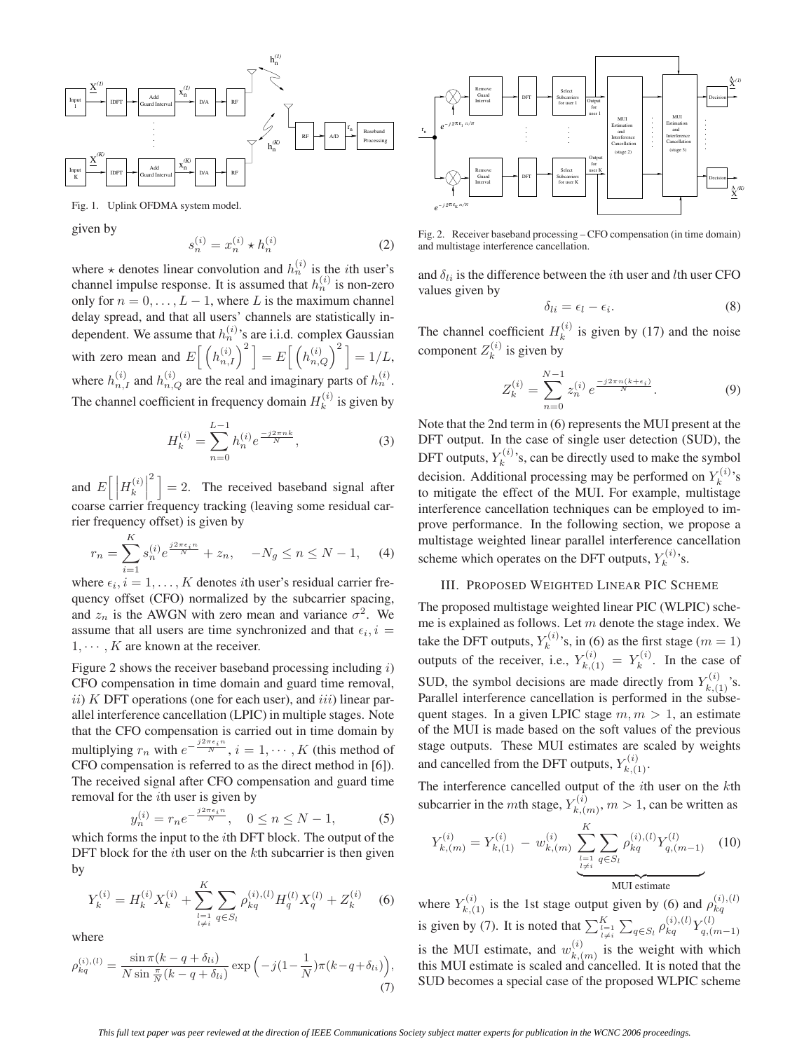

Fig. 1. Uplink OFDMA system model.

given by

$$
s_n^{(i)} = x_n^{(i)} \star h_n^{(i)}
$$
 (2)

where  $\star$  denotes linear convolution and  $h_n^{(i)}$  is the *i*th user's abound impulse response. It is assumed that  $h^{(i)}$  is non-zero channel impulse response. It is assumed that  $h_n^{(i)}$  is non-zero<br>call for  $n = 0$ ,  $I = 1$  where  $I$  is the maximum ehempel only for  $n = 0, \ldots, L - 1$ , where L is the maximum channel delay spread, and that all users' channels are statistically independent. We assume that  $h_n^{(i)}$ 's are i.i.d. complex Gaussian with zero mean and  $E\left[\left(h_{n,I}^{(i)}\right)^2\right] = E\left[\left(h_{n,Q}^{(i)}\right)^2\right] = 1/L,$ where  $h_{n,I}^{(i)}$  and  $h_{n,Q}^{(i)}$  are the real and imaginary parts of  $h_n^{(i)}$ . The channel coefficient in frequency domain  $H_k^{(i)}$  is given by

$$
H_k^{(i)} = \sum_{n=0}^{L-1} h_n^{(i)} e^{\frac{-j2\pi nk}{N}},\tag{3}
$$

and  $E\left[\left|H_k^{(i)}\right|^2\right]=2$ . The received baseband signal after k coarse carrier frequency tracking (leaving some residual carrier frequency offset) is given by

$$
r_n = \sum_{i=1}^{N} s_n^{(i)} e^{\frac{j2\pi\epsilon_i n}{N}} + z_n, \quad -N_g \le n \le N - 1,\tag{4}
$$

where  $\epsilon_i$ ,  $i = 1, \ldots, K$  denotes *i*th user's residual carrier frequency offset (CFO) normalized by the subcarrier spacing, and  $z_n$  is the AWGN with zero mean and variance  $\sigma^2$ . We assume that all users are time synchronized and that  $\epsilon_i$ ,  $i =$  $1, \cdots, K$  are known at the receiver.

Figure 2 shows the receiver baseband processing including  $i$ ) CFO compensation in time domain and guard time removal,  $ii)$  K DFT operations (one for each user), and  $iii)$  linear parallel interference cancellation (LPIC) in multiple stages. Note that the CFO compensation is carried out in time domain by multiplying  $r_n$  with  $e^{-\frac{j2\pi\epsilon_i n}{N}}$ ,  $i = 1, \dots, K$  (this method of CFO compensation is referred to as the direct method in [6]). The received signal after CFO compensation and guard time removal for the ith user is given by

$$
y_n^{(i)} = r_n e^{-\frac{j2\pi \epsilon_i n}{N}}, \quad 0 \le n \le N - 1,
$$
 (5)  
which forms the input to the *i*th DFT block. The output of the

DFT block for the  $i$ th user on the  $k$ th subcarrier is then given by

$$
Y_k^{(i)} = H_k^{(i)} X_k^{(i)} + \sum_{\substack{l=1 \ l \neq i}}^K \sum_{q \in S_l} \rho_{kq}^{(i),(l)} H_q^{(l)} X_q^{(l)} + Z_k^{(i)} \tag{6}
$$

where

$$
\rho_{kq}^{(i),(l)} = \frac{\sin \pi (k - q + \delta_{li})}{N \sin \frac{\pi}{N} (k - q + \delta_{li})} \exp \left(-j(1 - \frac{1}{N})\pi (k - q + \delta_{li})\right),\tag{7}
$$



Fig. 2. Receiver baseband processing – CFO compensation (in time domain) and multistage interference cancellation.

and  $\delta_{li}$  is the difference between the *i*th user and *l*th user CFO values given by

$$
\delta_{li} = \epsilon_l - \epsilon_i. \tag{8}
$$

The channel coefficient  $H_k^{(i)}$  is given by (17) and the noise component  $Z_k^{(i)}$  is given by

$$
Z_k^{(i)} = \sum_{n=0}^{N-1} z_n^{(i)} e^{\frac{-j2\pi n(k+\epsilon_i)}{N}}.
$$
 (9)

Note that the 2nd term in (6) represents the MUI present at the DFT output. In the case of single user detection (SUD), the DFT outputs,  $Y_k^{(i)}$ 's, can be directly used to make the symbol decision. Additional processing may be performed on  $Y_k^{(i)}$ 's<br>to mitigate the effect of the MIII. For example, multistage to mitigate the effect of the MUI. For example, multistage interference cancellation techniques can be employed to improve performance. In the following section, we propose a multistage weighted linear parallel interference cancellation scheme which operates on the DFT outputs,  $Y_k^{(i)}$ 's.

# III. PROPOSED WEIGHTED LINEAR PIC SCHEME

The proposed multistage weighted linear PIC (WLPIC) scheme is explained as follows. Let  $m$  denote the stage index. We take the DFT outputs,  $Y_k^{(i)}$ 's, in (6) as the first stage  $(m = 1)$ outputs of the receiver, i.e.,  $Y_{k,(1)}^{(i)} = Y_k^{(i)}$ . In the case of SUD, the symbol decisions are made directly from  $Y_{k,1}^{(i)}$ 's.<br>Parallel interference cancellation is performed in the subse-Parallel interference cancellation is performed in the subsequent stages. In a given LPIC stage  $m, m > 1$ , an estimate of the MUI is made based on the soft values of the previous stage outputs. These MUI estimates are scaled by weights and cancelled from the DFT outputs,  $Y_{k,(1)}^{(i)}$ .

The interference cancelled output of the ith user on the kth subcarrier in the *m*th stage,  $Y_{k,(m)}^{(i)}$ ,  $m > 1$ , can be written as

$$
Y_{k,(m)}^{(i)} = Y_{k,(1)}^{(i)} - w_{k,(m)}^{(i)} \underbrace{\sum_{l=1}^{K} \sum_{q \in S_l} \rho_{kq}^{(i),(l)} Y_{q,(m-1)}^{(l)}}_{\text{MUI estimate}} \tag{10}
$$

where  $Y_{k,(1)}^{(i)}$  is the 1st stage output given by (6) and  $\rho_{kq}^{(i),(l)}$ is given by (7). It is noted that  $\sum_{\substack{l=1 \ l \neq i}}^K \sum_{q \in S_l} \rho_{kq}^{(i),(l)} Y_{q,(m-1)}^{(l)}$ is the MUI estimate, and  $w_{k,(m)}^{(i)}$  is the weight with which this MIII estimate is scaled and cancelled. It is noted that the this MUI estimate is scaled and cancelled. It is noted that the SUD becomes a special case of the proposed WLPIC scheme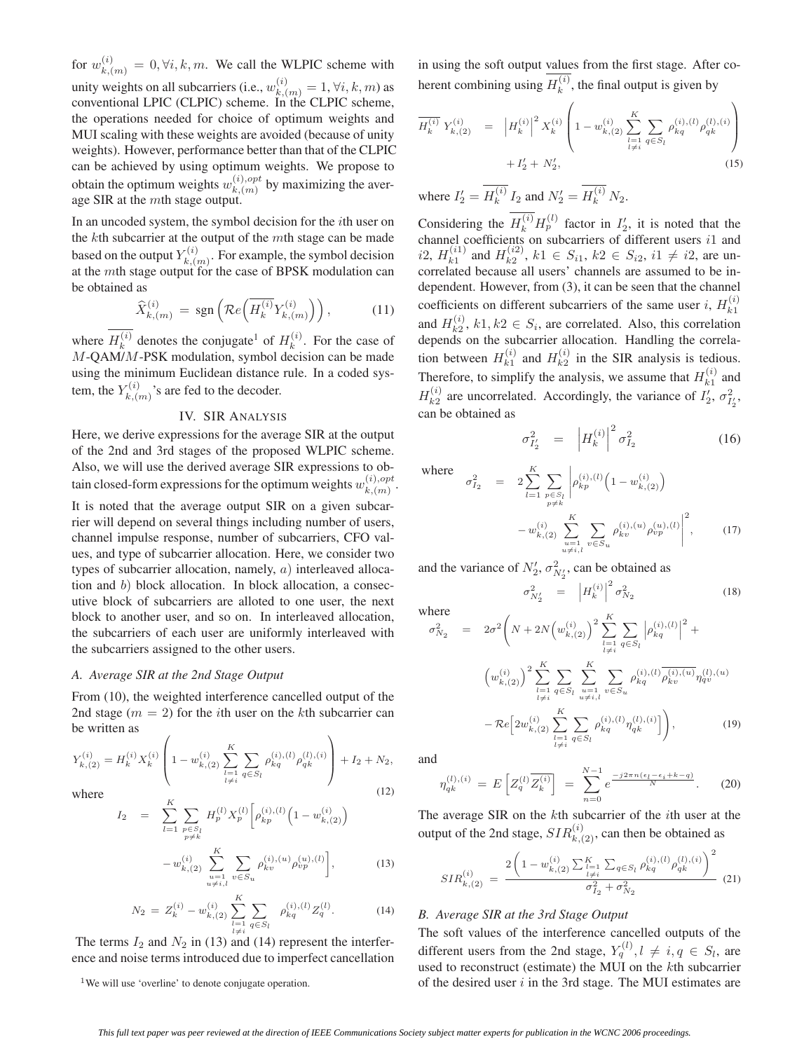for  $w_{k,(m)}^{(i)} = 0, \forall i, k, m$ . We call the WLPIC scheme with unity weights on all subcarriers (i.e.,  $w_{k,(m)}^{(i)} = 1, \forall i, k, m$ ) as<br>conventional LPIC (CLPIC) scheme. In the CLPIC scheme conventional LPIC (CLPIC) scheme. In the CLPIC scheme, the operations needed for choice of optimum weights and MUI scaling with these weights are avoided (because of unity weights). However, performance better than that of the CLPIC can be achieved by using optimum weights. We propose to obtain the optimum weights  $w_{k,(m)}^{(i),opt}$  by maximizing the aver-<br>age SIR at the *m*th stage output age SIR at the mth stage output.

In an uncoded system, the symbol decision for the ith user on the kth subcarrier at the output of the mth stage can be made based on the output  $Y_{k,(m)}^{(i)}$ . For example, the symbol decision at the *mth* stage output for the case of BPSK modulation can be obtained as

$$
\widehat{X}_{k,(m)}^{(i)} = \operatorname{sgn}\left(\mathcal{R}e\left(\overline{H_k^{(i)}}Y_{k,(m)}^{(i)}\right)\right),\tag{11}
$$

where  $H_k^{(i)}$  denotes the conjugate<sup>1</sup> of  $H_k^{(i)}$ . For the case of *M*-OA*M*/*M*-PSK modulation symbol decision can be made  $M$ -QAM/ $M$ -PSK modulation, symbol decision can be made using the minimum Euclidean distance rule. In a coded system, the  $Y_{k,(m)}^{(i)}$ 's are fed to the decoder.

# IV. SIR ANALYSIS

Here, we derive expressions for the average SIR at the output of the 2nd and 3rd stages of the proposed WLPIC scheme. Also, we will use the derived average SIR expressions to obtain closed-form expressions for the optimum weights  $w_{k,(m)}^{(i),opt}$ .

It is noted that the average output SIR on a given subcarrier will depend on several things including number of users, channel impulse response, number of subcarriers, CFO values, and type of subcarrier allocation. Here, we consider two types of subcarrier allocation, namely,  $a)$  interleaved allocation and b) block allocation. In block allocation, a consecutive block of subcarriers are alloted to one user, the next block to another user, and so on. In interleaved allocation, the subcarriers of each user are uniformly interleaved with the subcarriers assigned to the other users.

#### *A. Average SIR at the 2nd Stage Output*

From (10), the weighted interference cancelled output of the 2nd stage  $(m = 2)$  for the *i*th user on the *k*th subcarrier can be written as

$$
Y_{k,(2)}^{(i)} = H_k^{(i)} X_k^{(i)} \left( 1 - w_{k,(2)}^{(i)} \sum_{\substack{l=1 \ l \neq i}}^K \sum_{q \in S_l} \rho_{kq}^{(i),(l)} \rho_{qk}^{(l),(i)} \right) + I_2 + N_2,
$$
  
where (12)

$$
I_2 = \sum_{l=1}^K \sum_{\substack{p \in S_l \\ p \neq k}} H_p^{(l)} X_p^{(l)} \left[ \rho_{kp}^{(i),(l)} \left( 1 - w_{k,(2)}^{(i)} \right) \right]
$$

$$
-w_{k,(2)}^{(i)}\sum_{\substack{u=1\\u\neq i,l}}^K\sum_{v\in S_u}\rho_{kv}^{(i),(u)}\rho_{vp}^{(u),(l)}\bigg],\tag{13}
$$

$$
N_2 = Z_k^{(i)} - w_{k,(2)}^{(i)} \sum_{\substack{l=1 \ l \neq i}}^K \sum_{q \in S_l} \rho_{kq}^{(i),(l)} Z_q^{(l)}.
$$
 (14)

The terms  $I_2$  and  $N_2$  in (13) and (14) represent the interference and noise terms introduced due to imperfect cancellation in using the soft output values from the first stage. After coherent combining using  $H_k^{(i)}$ , the final output is given by

$$
\overline{H_k^{(i)}} Y_{k,(2)}^{(i)} = \left| H_k^{(i)} \right|^2 X_k^{(i)} \left( 1 - w_{k,(2)}^{(i)} \sum_{\substack{l=1 \ l \neq i}}^K \sum_{q \in S_l} \rho_{kq}^{(i),(l)} \rho_{qk}^{(l),(i)} \right) + I_2' + N_2', \tag{15}
$$

where  $I_2' = H_k^{(i)} I_2$  and  $N_2' = H_k^{(i)} N_2$ .

Considering the  $H_k^{(i)} H_p^{(l)}$  factor in  $I_2$ , it is noted that the channel coefficients on subcarriers of different users il and channel coefficients on subcarriers of different users i1 and i2,  $H_{k1}^{(i1)}$  and  $H_{k2}^{(i2)}$ ,  $k1 \in S_{i1}$ ,  $k2 \in S_{i2}$ ,  $i1 \neq i2$ , are un-<br>correlated because all users' channels are assumed to be incorrelated because all users' channels are assumed to be independent. However, from (3), it can be seen that the channel coefficients on different subcarriers of the same user i,  $H_{k_1}^{(i)}$ and  $H_{k2}^{(i)}$ ,  $k1, k2 \in S_i$ , are correlated. Also, this correlation depends on the subcarrier allocation. Handling the correlation between  $H_{k1}^{(i)}$  and  $H_{k2}^{(i)}$  in the SIR analysis is tedious. Therefore, to simplify the analysis, we assume that  $H_{k1}^{(i)}$  and  $H_{k2}^{(i)}$  $H_{k2}^{(i)}$  are uncorrelated. Accordingly, the variance of  $I'_2$ ,  $\sigma_{I'_2}^2$ , can be obtained as

$$
\sigma_{I'_2}^2 = |H_k^{(i)}|^2 \sigma_{I_2}^2 \tag{16}
$$

 $N_2$  (18)

where 
$$
\sigma_I^2
$$

$$
\sigma_{I_2}^2 = 2 \sum_{l=1}^{K} \sum_{\substack{p \in S_l \\ p \neq k}} \left| \rho_{kp}^{(i),(l)} \left( 1 - w_{k,(2)}^{(i)} \right) \right|
$$

$$
- w_{k,(2)}^{(i)} \sum_{\substack{u=1 \\ u \neq i,l}}^{K} \sum_{v \in S_u} \rho_{kv}^{(i),(u)} \rho_{vp}^{(u),(l)} \right|^2, \qquad (17)
$$

and the variance of  $N'_2$ ,  $\sigma_{N'_2}^2$ , can be obtained as

where  $\sigma$ 

$$
\mathcal{E}_{N_2}^2 = 2\sigma^2 \left( N + 2N \left( w_{k,(2)}^{(i)} \right)^2 \sum_{\substack{l=1 \ l \neq i}}^K \sum_{q \in S_l} \left| \rho_{kq}^{(i),(l)} \right|^2 + \left( w_{k,(2)}^{(i)} \right)^2 \sum_{\substack{l=1 \ l \neq i}}^K \sum_{q \in S_l} \sum_{\substack{u=1 \ u \neq i, l}}^K \sum_{v \in S_u} \rho_{kq}^{(i),(l)} \overline{\rho_{kv}^{(i),(u)}} \eta_{qv}^{(l),(u)} + \mathcal{R}e \left[ 2w_{k,(2)}^{(i)} \sum_{\substack{l=1 \ l \neq i}}^K \sum_{q \in S_l} \rho_{kq}^{(i),(l)} \eta_{qk}^{(l),(i)} \right] \right),
$$
\n(19)

 $\sigma_{N_2'}^2$  =  $\left| H_k^{(i)} \right|^2 \sigma_N^2$ 

and

$$
\eta_{qk}^{(l),(i)} = E\left[Z_q^{(l)}\overline{Z_k^{(i)}}\right] = \sum_{n=0}^{N-1} e^{\frac{-j2\pi n(\epsilon_l - \epsilon_i + k - q)}{N}}.
$$
 (20)

The average SIR on the kth subcarrier of the *i*th user at the output of the 2nd stage,  $SIR_{k,(2)}^{(i)}$ , can then be obtained as

$$
SIR_{k,(2)}^{(i)} = \frac{2\left(1 - w_{k,(2)}^{(i)}\sum_{\substack{l=1\\l \neq i}}^K \sum_{q \in S_l} \rho_{kq}^{(i),(l)} \rho_{qk}^{(l),(i)}\right)^2}{\sigma_{I_2}^2 + \sigma_{N_2}^2} \tag{21}
$$

# *B. Average SIR at the 3rd Stage Output*

The soft values of the interference cancelled outputs of the different users from the 2nd stage,  $Y_q^{(l)}$ ,  $l \neq i, q \in S_l$ , are used to reconstruct (estimate) the MUI on the kth subcarrier of the desired user  $i$  in the 3rd stage. The MUI estimates are

*This full text paper was peer reviewed at the direction of IEEE Communications Society subject matter experts for publication in the WCNC 2006 proceedings.*

 $1$ We will use 'overline' to denote conjugate operation.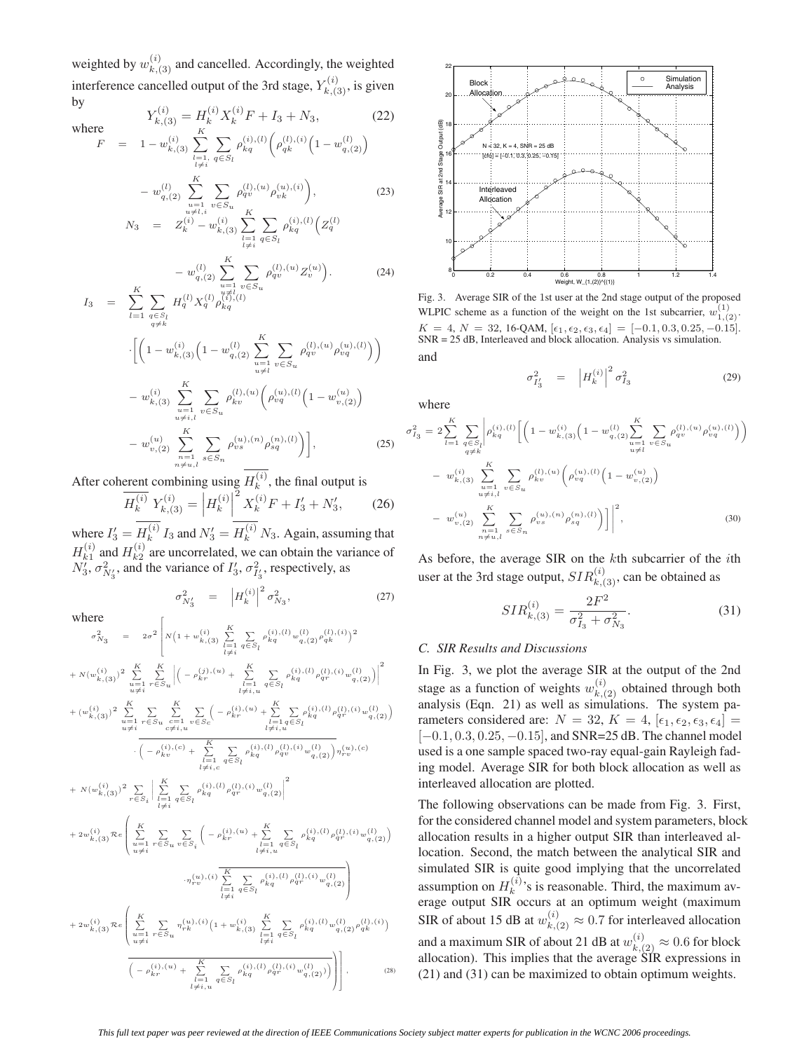weighted by  $w_{k,(3)}^{(i)}$  and cancelled. Accordingly, the weighted interference cancelled output of the 3rd stage,  $Y_{k,(3)}^{(i)}$ , is given by by

where

$$
Y_{k,(3)}^{(i)} = H_k^{(i)} X_k^{(i)} F + I_3 + N_3,
$$
\n
$$
F = 1 - w_{k,(3)}^{(i)} \sum_{\substack{l=1, \ l \neq i}}^K \sum_{q \in S_l} \rho_{kq}^{(i),(l)} \left( \rho_{qk}^{(l),(i)} \left( 1 - w_{q,(2)}^{(l)} \right) \right)
$$
\n(22)

$$
- w_{q,(2)}^{(l)} \sum_{u=1}^{K} \sum_{v \in S_u} \rho_{qv}^{(l),(u)} \rho_{vk}^{(u),(i)},
$$
\n
$$
N_3 = Z_k^{(i)} - w_{k,(3)}^{\sum K} \sum_{v \in S_u} \rho_{ka}^{(i),(l)} \left( Z_q^{(l)} \right)
$$
\n(23)

$$
N_3 = Z_k^{(i)} - w_{k,(3)}^{(i)} \sum_{\substack{l=1 \ l \neq i}}^{\infty} \sum_{q \in S_l} \rho_{kq}^{(i),(l)} \left( Z_q^{(l)} \right)
$$

$$
- w_{q,(2)}^{(l)} \sum_{u=1}^K \sum_{\substack{n \in S_u}} \rho_{qv}^{(l),(u)} Z_v^{(u)} \right). \tag{24}
$$

$$
I_{3} = \sum_{l=1}^{K} \sum_{\substack{q \in S_{l} \\ q \neq k}} H_{q}^{(l)} X_{q}^{(l)} \rho_{kq}^{(l), (l)}
$$
  

$$
\cdot \left[ \left( 1 - w_{k,(3)}^{(i)} \left( 1 - w_{q,(2)}^{(l)} \sum_{\substack{u=1 \\ u \neq l}}^{K} \sum_{v \in S_{u}} \rho_{qv}^{(l), (u)} \rho_{vq}^{(u), (l)} \right) \right) \right]
$$

$$
- w_{k,(3)}^{(i)} \sum_{\substack{u=1 \\ u \neq i, l}}^{K} \sum_{v \in S_{u}} \rho_{kv}^{(l), (u)} \left( \rho_{vq}^{(u), (l)} \left( 1 - w_{v,(2)}^{(u)} \right) \right)
$$

$$
- w_{v,(2)}^{(u)} \sum_{\substack{n=1 \\ n \neq u, l}}^{K} \sum_{s \in S_{n}} \rho_{vs}^{(u), (n)} \rho_{sq}^{(n), (l)} \right), \tag{25}
$$

After coherent combining using  $\overline{H_k^{(i)}}$ , the final output is

$$
\overline{H_k^{(i)}} Y_{k,(3)}^{(i)} = \left| H_k^{(i)} \right|^2 X_k^{(i)} F + I'_3 + N'_3, \tag{26}
$$

where  $I_3' = H_k^{(i)} I_3$  and  $N_3' = H_k^{(i)} N_3$ . Again, assuming that  $H_{k1}^{(i)}$  and  $H_{k2}^{(i)}$  are uncorrelated, we can obtain the variance of  $N'_3$ ,  $\sigma_{N'_3}^2$ , and the variance of  $I'_3$ ,  $\sigma_{I'_3}^2$ , respectively, as

$$
\sigma_{N'_3}^2 = |H_k^{(i)}|^2 \sigma_{N_3}^2, \qquad (27)
$$

where

$$
\begin{array}{rcl} \textbf{WILPE} & \sigma^2_{N_3} & = & 2\sigma^2 \left[ N\left(1+w_{k,(3)}^{(i)}\sum\limits_{l=1}^K\sum\limits_{q\in S_l}\rho_{kq}^{(i),(l)}w_{q,(2)}^{(l)}\rho_{qk}^{(l)}\right)^2 \right. \\ & & \left. + N(w_{k,(3)}^{(i)})^2\sum\limits_{u=1}^K\sum\limits_{r\in S_u}\left|\left(-\rho_{kr}^{(j),(u)}+\sum\limits_{l=1}^K\sum\limits_{q\in S_l}\rho_{kq}^{(i),(l)}\rho_{qr}^{(l),(i)}w_{q,(2)}^{(l)}\right)\right|^2 \right. \\ & & \left. + (w_{k,(3)}^{(i)})^2\sum\limits_{u=1}^K\sum\limits_{r\in S_u}\sum\limits_{c=1}^K\sum\limits_{v\in S_c}\left(-\rho_{kr}^{(i),(u)}+\sum\limits_{l=1}^K\sum\limits_{q\in S_l}\rho_{kq}^{(i),(l)}\rho_{qr}^{(l),(i)}w_{q,(2)}^{(l)}\right)\right]^2 \\ & & \cdot \left(-\rho_{kv}^{(i),(c)}+\sum\limits_{l=1}^K\sum\limits_{q\in S_l}\rho_{kq}^{(i),(l)}\rho_{qk}^{(l),(i)}w_{q,(2)}^{(l)}\right)\eta_{rv}^{(u),(c)} \right. \\ & & \left. + N(w_{k,(3)}^{(i)})^2\sum\limits_{r\in S_i}\left|\sum\limits_{l=1}^K\sum\limits_{q\in S_l}\rho_{kq}^{(i),(l)}\rho_{qr}^{(l),(i)}w_{q,(2)}^{(l)}\right|^2 \right. \\ & & \left. + 2w_{k,(3)}^{(i)}\pi e\left(\sum\limits_{u=1}^K\sum\limits_{r\in S_u}\sum\limits_{v\in S_i}\left(-\rho_{kr}^{(i),(u)}+\sum\limits_{l=1}^K\sum\limits_{q\in S_l}\rho_{kq}^{(i),(l)}\rho_{qr}^{(l),(i)}w_{q,(2)}^{(l)}\right)\right. \\ & & \left. + 2w_{k,(3)}^{(i)}\pi e\left(\sum\limits_{u=1}^K\sum\limits_{r\in S_u}\sum\limits_{v\in S_i}\left(-\rho_{kr}^{(i),(u)}+\sum\limits_{l=1}^K
$$



Fig. 3. Average SIR of the 1st user at the 2nd stage output of the proposed WLPIC scheme as a function of the weight on the 1st subcarrier,  $w_{1,(2)}^{(1)}$ .<br> $W = 4$ ,  $N = 32, 16$  OAM,  $[\epsilon_1, \epsilon_2, \epsilon_3, \epsilon_4] = [0, 1, 0, 2, 0, 25, 0, 15]$  $K = 4, N = 32, 16$ -QAM,  $[\epsilon_1, \epsilon_2, \epsilon_3, \epsilon_4] = [-0.1, 0.3, 0.25, -0.15].$ SNR = 25 dB, Interleaved and block allocation. Analysis vs simulation. and

$$
\sigma_{I'_3}^2 = |H_k^{(i)}|^2 \sigma_{I_3}^2 \tag{29}
$$

where

 $\epsilon$ 

$$
I_{3}^{2} = 2 \sum_{l=1}^{K} \sum_{\substack{q \in S_{l} \\ q \neq k}} \left| \rho_{kq}^{(i),(l)} \left[ \left( 1 - w_{k,(3)}^{(i)} \left( 1 - w_{q,(2)}^{(l)} \sum_{\substack{u=1 \\ u \neq l}}^{K} \sum_{v \in S_{u}} \rho_{qv}^{(l),(u)} \rho_{vq}^{(u),(l)} \right) \right) \right|
$$
  
- 
$$
w_{k,(3)}^{(i)} \sum_{\substack{u=1 \\ u \neq i,l}}^{K} \sum_{v \in S_{u}} \rho_{kv}^{(l),(u)} \left( \rho_{vq}^{(u),(l)} \left( 1 - w_{v,(2)}^{(u)} \right) \right)
$$
  
- 
$$
w_{v,(2)}^{(u)} \sum_{\substack{n=1 \\ n \neq u,l}}^{K} \sum_{s \in S_{n}} \rho_{vs}^{(u),(n)} \rho_{sq}^{(n),(l)} \right) \Big|^{2}, \qquad (30)
$$

As before, the average SIR on the kth subcarrier of the ith user at the 3rd stage output,  $SIR_{k,(3)}^{(i)}$ , can be obtained as

$$
SIR_{k,(3)}^{(i)} = \frac{2F^2}{\sigma_{I_3}^2 + \sigma_{N_3}^2}.
$$
\n(31)

# *C. SIR Results and Discussions*

In Fig. 3, we plot the average SIR at the output of the 2nd stage as a function of weights  $w_{k,(2)}^{(i)}$  obtained through both analysis (Eqn. 21) as well as simulations. The system naanalysis (Eqn. 21) as well as simulations. The system parameters considered are:  $N = 32, K = 4, \{\epsilon_1, \epsilon_2, \epsilon_3, \epsilon_4\}$ [-0.1, 0.3, 0.25, -0.15], and SNR=25 dB. The channel model used is a one sample spaced two-ray equal-gain Rayleigh fading model. Average SIR for both block allocation as well as interleaved allocation are plotted.

The following observations can be made from Fig. 3. First, for the considered channel model and system parameters, block allocation results in a higher output SIR than interleaved allocation. Second, the match between the analytical SIR and simulated SIR is quite good implying that the uncorrelated assumption on  $H_k^{(i)}$ 's is reasonable. Third, the maximum average output SIR occurs at an optimum weight (maximum SIR of about 15 dB at  $w_{k,(2)}^{(i)} \approx 0.7$  for interleaved allocation and a maximum SIR of about 21 dB at  $w_{k,(2)}^{(i)} \approx 0.6$  for block allocation). This implies that the average SIR expressions in (21) and (31) can be maximized to obtain optimum weights.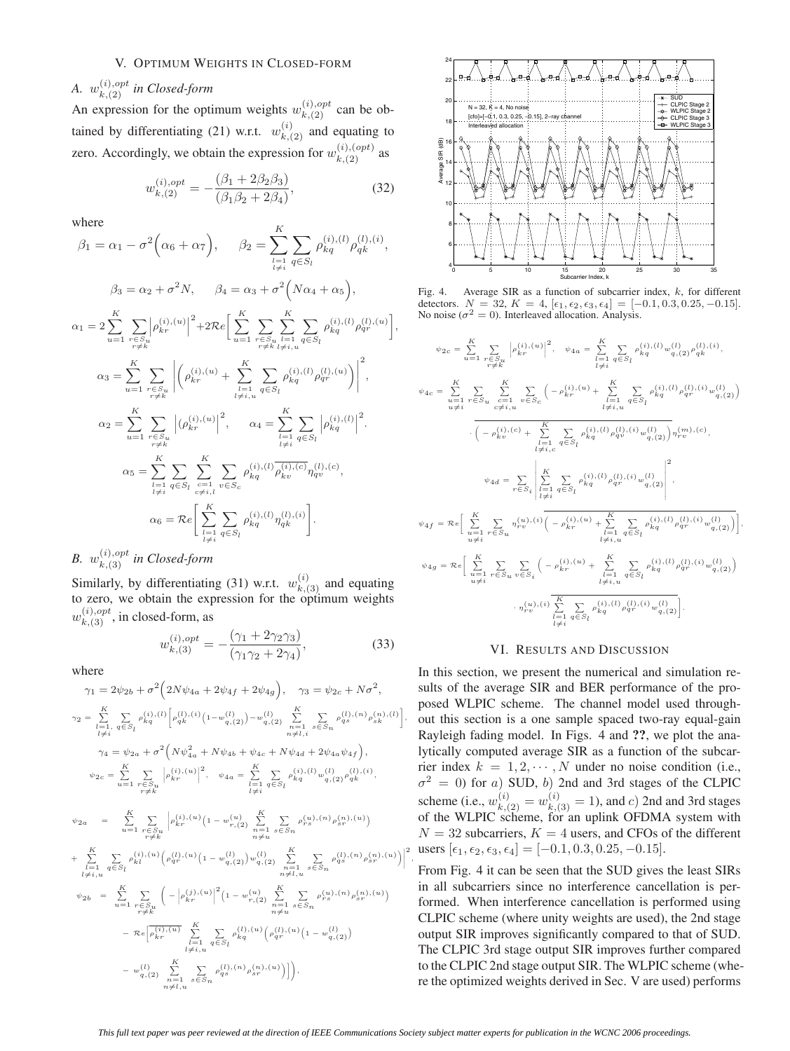### V. OPTIMUM WEIGHTS IN CLOSED-FORM

# *A.*  $w_{k,(2)}^{(i), opt}$  in Closed-form

An expression for the optimum weights  $w_{k,(2)}^{(i), opt}$  can be obtained by differentiating (21) w.r.t.  $w_{k,(2)}^{(i)}$  and equating to zero. Accordingly, we obtain the expression for  $w_{k,(2)}^{(i),(opt)}$  as

$$
w_{k,(2)}^{(i), opt} = -\frac{(\beta_1 + 2\beta_2\beta_3)}{(\beta_1\beta_2 + 2\beta_4)},
$$
\n(32)

where

$$
\beta_1 = \alpha_1 - \sigma^2 \Big( \alpha_6 + \alpha_7 \Big), \qquad \beta_2 = \sum_{\substack{l=1 \ l \neq i}}^{\infty} \sum_{q \in S_l} \rho_{kq}^{(i), (l)} \rho_{qk}^{(l), (i)},
$$
  

$$
\beta_3 = \alpha_2 + \sigma^2 N, \qquad \beta_4 = \alpha_3 + \sigma^2 \Big( N \alpha_4 + \alpha_5 \Big),
$$
  

$$
\alpha_1 = 2 \sum_{u=1}^K \sum_{\substack{r \in S_u \\ r \neq k}} \Big| \rho_{kr}^{(i), (u)} \Big|^2 + 2 \Re \Big[ \sum_{u=1}^K \sum_{\substack{r \in S_u \\ r \neq k}} \sum_{l=1}^K \sum_{q \in S_l} \rho_{kq}^{(i), (l)} \rho_{qr}^{(l), (u)} \Big],
$$
  

$$
\alpha_3 = \sum_{u=1}^K \sum_{\substack{r \in S_u \\ r \neq k}} \Big| \Big( \rho_{kr}^{(i), (u)} + \sum_{\substack{l=1 \ l \neq i, u}}^K \sum_{q \in S_l} \rho_{kq}^{(i), (l)} \rho_{qr}^{(l), (u)} \Big) \Big|^2,
$$
  

$$
\alpha_2 = \sum_{u=1}^K \sum_{\substack{r \in S_u \\ r \neq k}} \Big| (\rho_{kr}^{(i), (u)} \Big)^2, \qquad \alpha_4 = \sum_{\substack{l=1 \ l \neq i}}^K \sum_{q \in S_l} \Big| \rho_{kq}^{(i), (l)} \Big|^2.
$$
  

$$
\alpha_5 = \sum_{\substack{l=1 \ l \neq i}}^K \sum_{q \in S_l} \sum_{\substack{c=1 \ c \neq i, l}}^K \sum_{v \in S_c} \rho_{kq}^{(i), (l)} \overline{\rho_{kv}^{(i), (c)}} \eta_{qv}^{(l), (c)},
$$
  

$$
\alpha_6 = \Re \Big[ \sum_{\substack{l=1 \ l \neq i}}^K \sum_{q \in S_l} \rho_{kq}^{(i), (l)} \eta_{qk}^{(l), (i)} \Big].
$$

*B.*  $w_{k,(3)}^{(i), opt}$  in Closed-form

Similarly, by differentiating (31) w.r.t.  $w_{k,(3)}^{(i)}$  and equating to zero, we obtain the expression for the optimum weights to zero, we obtain the expression for the optimum weights  $w_{k,(3)}^{(i),opt}$ , in closed-form, as

$$
w_{k,(3)}^{(i), opt} = -\frac{(\gamma_1 + 2\gamma_2\gamma_3)}{(\gamma_1\gamma_2 + 2\gamma_4)},
$$
\n(33)

where

$$
\begin{split} \gamma_1 &= 2\psi_{2b} + \sigma^2 \Big( 2N\psi_{4a} + 2\psi_{4f} + 2\psi_{4g} \Big), \quad \gamma_3 = \psi_{2c} + N\sigma^2, \\ \gamma_2 &= \sum_{\substack{l=1, \\ l \neq i}}^K \sum_{q \in S_l} \rho_{kq}^{(i),(l)} \Big[ \rho_{qk}^{(l),(i)} \big( 1 - w_{q,(2)}^{(l)} \big) - w_{q,(2)}^{(l)} \sum_{\substack{n=1 \\ n \neq l, i}}^K \sum_{s \in S_n} \rho_{qs}^{(l),(n)} \rho_{sk}^{(n),(l)} \Big], \\ \gamma_4 &= \psi_{2a} + \sigma^2 \Big( N\psi_{4a}^2 + N\psi_{4b} + \psi_{4c} + N\psi_{4d} + 2\psi_{4a}\psi_{4f} \Big), \\ \psi_{2c} &= \sum_{u=1}^K \sum_{\substack{r \in S_u}} \Big| \rho_{kr}^{(i),(u)} \Big|^2, \quad \psi_{4a} = \sum_{\substack{l=1 \\ l \neq i}}^K \sum_{q \in S_l} \rho_{kq}^{(i),(l)} w_{q,(2)}^{(l)} \rho_{qk}^{(l),(i)}, \\ \psi_{2a} &= \sum_{\substack{n=1 \\ r \neq k}}^K \sum_{\substack{r \in S_u \\ r \neq k}} \Big| \rho_{kr}^{(i),(u)} \Big( 1 - w_{r,(2)}^{(u)} \sum_{\substack{n=1 \\ n \neq u}}^K \sum_{s \in S_n} \rho_{rs}^{(u),(n)} \rho_{sr}^{(n),(u)} \Big) \\ \psi_{2b} &= \sum_{u=1}^K \sum_{\substack{r \in S_u \\ r \neq k}}^K \Big( - \Big| \rho_{kr}^{(j),(u)} \Big( 1 - w_{r,(2)}^{(l)} \Big) w_{q,(2)}^{(l)} \sum_{\substack{n=1 \\ n \neq l, u}}^K \sum_{s \in S_n} \rho_{qs}^{(l),(n)} \rho_{sr}^{(n),(u)} \Big) \Big|^2 \\ & \psi_{2b} &= \sum_{u=1}^K \sum_{\substack{r \in S_u \\ r \neq k}}^K \Big( - \Big| \rho_{kr}^{(j),(u)} \Big|^2 \Big( 1 - w_{r,(2)}^{(u)} \sum_{
$$



Fig. 4. Average SIR as a function of subcarrier index, k, for different detectors.  $N = 32, K = 4, [\epsilon_1, \epsilon_2, \epsilon_3, \epsilon_4] = [-0.1, 0.3, 0.25, -0.15].$ No noise ( $\sigma^2 = 0$ ). Interleaved allocation. Analysis.

$$
\begin{split} \psi_{2c} &= \sum_{u=1}^{K}\sum_{\substack{r \in S_{u} \\ r \neq k}}\left|\rho_{kr}^{(i),(u)}\right|^{2}, \quad \psi_{4a} = \sum_{\substack{l=1 \\ l \neq i}}^{K}\sum_{\substack{q \in S_{l} \\ q \in S_{l}}} \rho_{kq}^{(i),(l)}w_{q,(2)}^{(l)}\rho_{qk}^{(l),(i)},\\ \psi_{4c} &= \sum_{\substack{u=1 \\ u \neq i}}^{K}\sum_{\substack{r \in S_{u} \\ c \neq i, u}}\sum_{\substack{c=1 \\ c \neq i, u}}^{K}\sum_{\substack{v \in S_{c} \\ e \in S_{l}}} \left(-\rho_{kr}^{(i),(u)} + \sum_{\substack{l=1 \\ l \neq i, u}}^{K}\sum_{\substack{q \in S_{l} \\ q \in S_{l}}} \rho_{kq}^{(i),(l)}\rho_{qk}^{(l),(i)}w_{q,(2)}^{(l)}\right)\\ &\cdot \left(-\rho_{kv}^{(i),(c)} + \sum_{\substack{l=1 \\ l \neq i, c}}^{K}\sum_{\substack{q \in S_{l} \\ q \in S_{l}}} \rho_{kq}^{(i),(l)}\rho_{qv}^{(l),(i)}w_{q,(2)}^{(l)}\right)\eta_{rv}^{(m),(c)},\\ \psi_{4d} &= \sum_{r \in S_{i}}\left|\sum_{\substack{l=1 \\ l \neq i}}^{K}\sum_{\substack{q \in S_{l} \\ q \in S_{l}}} \rho_{kq}^{(i),(l)}\rho_{qr}^{(l),(i)}w_{q,(2)}^{(l)}\right|^{2},\\ \psi_{4f} &= \mathcal{R}\mathbf{e}\left[\sum_{\substack{u=1 \\ u \neq i}}^{K}\sum_{\substack{r \in S_{u}}} \eta_{rv}^{(u),(i)}\left(-\rho_{kr}^{(i),(u)} + \sum_{\substack{l=1 \\ l \neq i, u}}^{K}\sum_{\substack{q \in S_{l} \\ l \neq i, u}} \rho_{kq}^{(i),(l)}\rho_{qr}^{(l),(i)}w_{q,(2)}^{(l)}\right)\right],\\ \psi_{4g} &= \mathcal{R}\mathbf{e}\left[\sum_{\substack{u=1 \\ u \neq i}}^{K}\sum_{\substack{r \in S_{u}}} \sum_{v \in S
$$

#### VI. RESULTS AND DISCUSSION

2 users  $[\epsilon_1, \epsilon_2, \epsilon_3, \epsilon_4] = [-0.1, 0.3, 0.25, -0.15]$ . In this section, we present the numerical and simulation results of the average SIR and BER performance of the proposed WLPIC scheme. The channel model used throughout this section is a one sample spaced two-ray equal-gain Rayleigh fading model. In Figs. 4 and **??**, we plot the analytically computed average SIR as a function of the subcarrier index  $k = 1, 2, \dots, N$  under no noise condition (i.e.,  $\sigma^2 = 0$ ) for a) SUD, b) 2nd and 3rd stages of the CLPIC scheme (i.e.,  $w_{k,(2)}^{(i)} = w_{k,(3)}^{(i)} = 1$ ), and *c*) 2nd and 3rd stages of the WLPIC scheme, for an uplink OFDMA system with  $N = 32$  subcarriers,  $K = 4$  users, and CFOs of the different

From Fig. 4 it can be seen that the SUD gives the least SIRs in all subcarriers since no interference cancellation is performed. When interference cancellation is performed using CLPIC scheme (where unity weights are used), the 2nd stage output SIR improves significantly compared to that of SUD. The CLPIC 3rd stage output SIR improves further compared to the CLPIC 2nd stage output SIR. The WLPIC scheme (where the optimized weights derived in Sec. V are used) performs

*,*